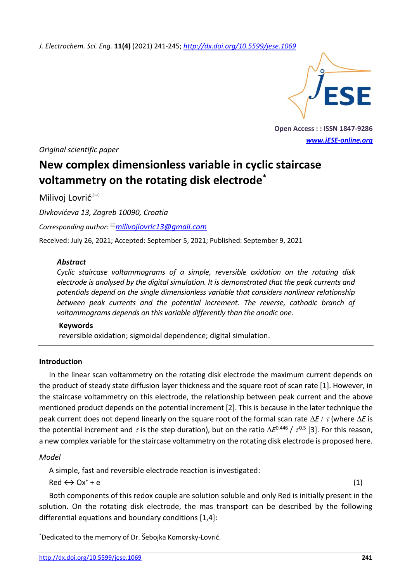*J. Electrochem. Sci. Eng.* **11(4)** (2021) 241-245; *htt[p://dx.doi.org/10.5599/jese.1069](http://dx.doi.org/10.5599/jese.1069)*



**Open Access : : ISSN 1847-9286** *[www.jESE-online.org](http://www.jese-online.org/)*

*Original scientific paper*

# **New complex dimensionless variable in cyclic staircase voltammetry on the rotating disk electrode\***

Milivoj Lovrić<sup>,⊠</sup>

*Divkovićeva 13, Zagreb 10090, Croatia*

*Corresponding author: [milivojlovric13@gmail.com](mailto:milivojlovric13@gmail.com)*

Received: July 26, 2021; Accepted: September 5, 2021; Published: September 9, 2021

#### *Abstract*

*Cyclic staircase voltammograms of a simple, reversible oxidation on the rotating disk electrode is analysed by the digital simulation. It is demonstrated that the peak currents and potentials depend on the single dimensionless variable that considers nonlinear relationship between peak currents and the potential increment. The reverse, cathodic branch of voltammograms depends on this variable differently than the anodic one.*

#### **Keywords**

reversible oxidation; sigmoidal dependence; digital simulation.

## **Introduction**

In the linear scan voltammetry on the rotating disk electrode the maximum current depends on the product of steady state diffusion layer thickness and the square root of scan rate [1]. However, in the staircase voltammetry on this electrode, the relationship between peak current and the above mentioned product depends on the potential increment [2]. This is because in the later technique the peak current does not depend linearly on the square root of the formal scan rate  $\Delta E / \tau$  (where  $\Delta E$  is the potential increment and  $\tau$  is the step duration), but on the ratio  $\Delta E^{0.446}$  /  $\tau^{0.5}$  [3]. For this reason, a new complex variable for the staircase voltammetry on the rotating disk electrode is proposed here.

#### *Model*

A simple, fast and reversible electrode reaction is investigated:

 $Red \leftrightarrow Ox^+ + e^-$ 

(1)

Both components of this redox couple are solution soluble and only Red is initially present in the solution. On the rotating disk electrode, the mas transport can be described by the following differential equations and boundary conditions [1,4]:

<sup>\*</sup>Dedicated to the memory of Dr. Šebojka Komorsky-Lovrić.

<http://dx.doi.org/10.5599/jese.1069> **241**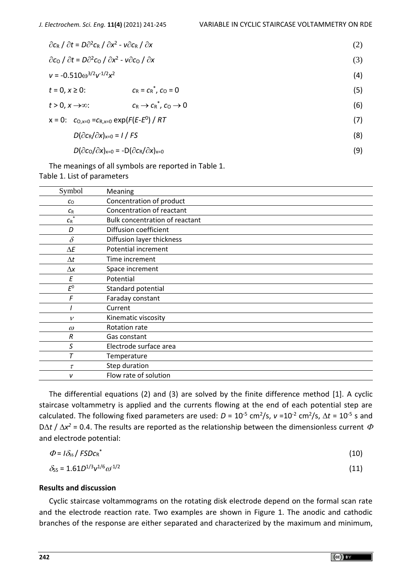| $\partial c_R / \partial t = D \partial^2 c_R / \partial x^2 - v \partial c_R / \partial x$ |                                                                                     |                                               | (2) |
|---------------------------------------------------------------------------------------------|-------------------------------------------------------------------------------------|-----------------------------------------------|-----|
| $\partial c_0 / \partial t = D \partial^2 c_0 / \partial x^2 - v \partial c_0 / \partial x$ |                                                                                     |                                               | (3) |
| $v = -0.510\omega^{3/2}v^{1/2}x^2$                                                          |                                                                                     |                                               | (4) |
| $t = 0, x \ge 0$ :                                                                          |                                                                                     | $c_R = c_R^*$ , $c_Q = 0$                     | (5) |
| $t > 0$ , $x \rightarrow \infty$ :                                                          |                                                                                     | $c_R \rightarrow c_R^*$ , $c_Q \rightarrow 0$ | (6) |
|                                                                                             | x = 0: $c_{O,x=0} = c_{R,x=0} \exp(F(E-E^0)) / RT$                                  |                                               | (7) |
|                                                                                             | $D(\partial c_R/\partial x)_{x=0} = I/FS$                                           |                                               | (8) |
|                                                                                             | $D(\partial c_0/\partial x)_{x=0}$ = -D( $\partial c_R/\partial x$ ) <sub>x=0</sub> |                                               | (9) |

The meanings of all symbols are reported in Table 1. Table 1. List of parameters

| Meaning                               |
|---------------------------------------|
| Concentration of product              |
| Concentration of reactant             |
| <b>Bulk concentration of reactant</b> |
| Diffusion coefficient                 |
| Diffusion layer thickness             |
| Potential increment                   |
| Time increment                        |
| Space increment                       |
| Potential                             |
| Standard potential                    |
| Faraday constant                      |
| Current                               |
| Kinematic viscosity                   |
| Rotation rate                         |
| Gas constant                          |
| Electrode surface area                |
| Temperature                           |
| Step duration                         |
| Flow rate of solution                 |
|                                       |

The differential equations (2) and (3) are solved by the finite difference method [1]. A cyclic staircase voltammetry is applied and the currents flowing at the end of each potential step are calculated. The following fixed parameters are used:  $D = 10^{-5}$  cm<sup>2</sup>/s,  $v = 10^{-2}$  cm<sup>2</sup>/s,  $\Delta t = 10^{-5}$  s and D $\Delta t$  /  $\Delta x^2$  = 0.4. The results are reported as the relationship between the dimensionless current  $\Phi$ and electrode potential:

| $\Phi = I \delta_{ss} / FSDc_R^*$                                                                    | (10) |
|------------------------------------------------------------------------------------------------------|------|
| $\frac{1}{2}$ $\frac{1}{2}$ $\frac{1}{2}$ $\frac{1}{2}$ $\frac{1}{2}$ $\frac{1}{2}$<br>$\sim$ $\sim$ |      |

$$
\delta_{\rm S} = 1.61D^{1/3}v^{1/6}\omega^{1/2} \tag{11}
$$

## **Results and discussion**

Cyclic staircase voltammograms on the rotating disk electrode depend on the formal scan rate and the electrode reaction rate. Two examples are shown in Figure 1. The anodic and cathodic branches of the response are either separated and characterized by the maximum and minimum,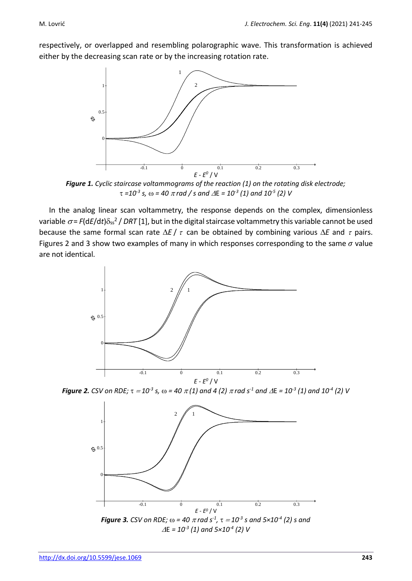respectively, or overlapped and resembling polarographic wave. This transformation is achieved either by the decreasing scan rate or by the increasing rotation rate.



**Figure 1.** Cyclic staircase voltammograms of the reaction (1) on the rotating disk electrode;  $\tau$  =10<sup>-3</sup> s,  $\omega$  = 40  $\pi$  rad / s and  $\Delta$ E = 10<sup>-3</sup> (1) and 10<sup>-5</sup> (2) V

In the analog linear scan voltammetry, the response depends on the complex, dimensionless variable  $\sigma$ = F(dE/dt) $\delta_{ss}$ <sup>2</sup> / DRT [1], but in the digital staircase voltammetry this variable cannot be used because the same formal scan rate  $\Delta E / \tau$  can be obtained by combining various  $\Delta E$  and  $\tau$  pairs. Figures 2 and 3 show two examples of many in which responses corresponding to the same  $\sigma$  value are not identical.



*<i>Figure 2. CSV on RDE;*  $\tau = 10^{-3}$  *s,*  $\omega = 40$  $\pi(1)$  *and 4 (2)*  $\pi$  *rad s<sup>-1</sup> and*  $\varDelta$ *E = 10<sup>-3</sup> (1) and 10<sup>-4</sup> (2) V* 

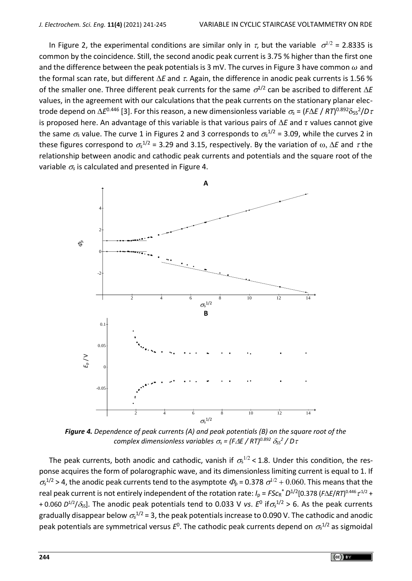In Figure 2, the experimental conditions are similar only in  $\tau$ , but the variable  $\sigma^{1/2}$  = 2.8335 is common by the coincidence. Still, the second anodic peak current is 3.75 % higher than the first one and the difference between the peak potentials is 3 mV. The curves in Figure 3 have common  $\omega$  and the formal scan rate, but different  $\Delta E$  and  $\tau$ . Again, the difference in anodic peak currents is 1.56 % of the smaller one. Three different peak currents for the same  $\sigma^{1/2}$  can be ascribed to different  $\Delta E$ values, in the agreement with our calculations that the peak currents on the stationary planar electrode depend on  $\Delta E^{0.446}$  [3]. For this reason, a new dimensionless variable  $\sigma_{\!s}$  = (F $\Delta E$  / RT) $^{0.892}\delta_{\rm SS}$ 2/D  $\tau$ is proposed here. An advantage of this variable is that various pairs of  $\Delta E$  and  $\tau$  values cannot give the same  $\sigma_s$  value. The curve 1 in Figures 2 and 3 corresponds to  $\sigma_s^{1/2}$  = 3.09, while the curves 2 in these figures correspond to  $\sigma_s^{1/2}$  = 3.29 and 3.15, respectively. By the variation of  $\omega$ ,  $\Delta E$  and  $\tau$  the relationship between anodic and cathodic peak currents and potentials and the square root of the variable  $\sigma_s$  is calculated and presented in Figure 4.



*Figure 4. Dependence of peak currents (A) and peak potentials (B) on the square root of the complex dimensionless variables*  $\sigma_s$  *= (F* $\Delta$ *E / RT)<sup>0.892</sup>*  $\delta_{SS}^2$  */ D* $\tau$ 

The peak currents, both anodic and cathodic, vanish if  $\sigma_s^{1/2}$  < 1.8. Under this condition, the response acquires the form of polarographic wave, and its dimensionless limiting current is equal to 1. If  $\sigma_s^{1/2}$  > 4, the anodic peak currents tend to the asymptote  $\Phi_p$  = 0.378  $\sigma^{1/2}$  + 0.060. This means that the real peak current is not entirely independent of the rotation rate:  $I_p = FSc_R^* D^{1/2}[0.378 (F\Delta E/RT)^{0.446} \tau^{1/2} +$ + 0.060  $D^{1/2}/\delta_{ss}$ ]. The anodic peak potentials tend to 0.033 V *vs. E*<sup>0</sup> if $\sigma_s^{1/2}$  > 6. As the peak currents gradually disappear below  $\sigma_{\rm s}^{\rm 1/2}$  = 3, the peak potentials increase to 0.090 V. The cathodic and anodic peak potentials are symmetrical versus *E* 0 . The cathodic peak currents depend on *<sup>s</sup>* 1/2 as sigmoidal